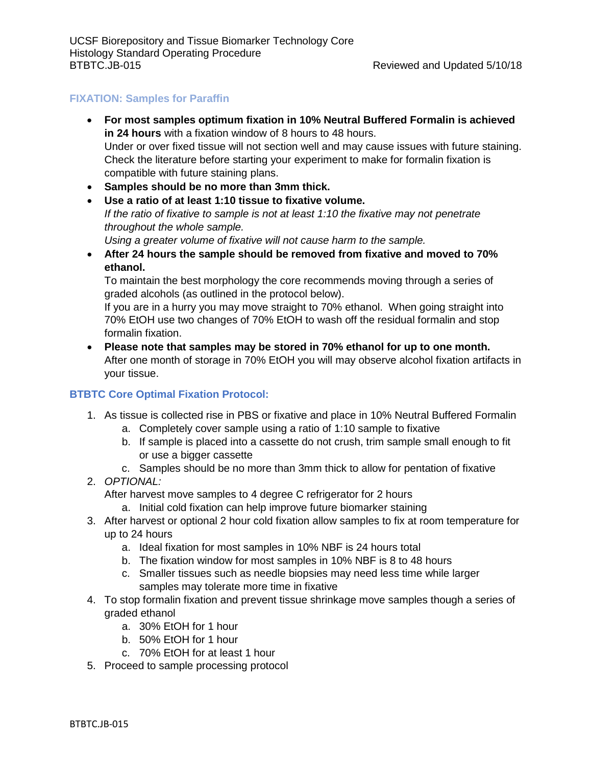## **FIXATION: Samples for Paraffin**

- **For most samples optimum fixation in 10% Neutral Buffered Formalin is achieved in 24 hours** with a fixation window of 8 hours to 48 hours. Under or over fixed tissue will not section well and may cause issues with future staining. Check the literature before starting your experiment to make for formalin fixation is compatible with future staining plans.
- **Samples should be no more than 3mm thick.**
- **Use a ratio of at least 1:10 tissue to fixative volume.**  *If the ratio of fixative to sample is not at least 1:10 the fixative may not penetrate throughout the whole sample.*
	- *Using a greater volume of fixative will not cause harm to the sample.*
- **After 24 hours the sample should be removed from fixative and moved to 70% ethanol.**

To maintain the best morphology the core recommends moving through a series of graded alcohols (as outlined in the protocol below).

If you are in a hurry you may move straight to 70% ethanol. When going straight into 70% EtOH use two changes of 70% EtOH to wash off the residual formalin and stop formalin fixation.

• **Please note that samples may be stored in 70% ethanol for up to one month.** After one month of storage in 70% EtOH you will may observe alcohol fixation artifacts in your tissue.

## **BTBTC Core Optimal Fixation Protocol:**

- 1. As tissue is collected rise in PBS or fixative and place in 10% Neutral Buffered Formalin
	- a. Completely cover sample using a ratio of 1:10 sample to fixative
	- b. If sample is placed into a cassette do not crush, trim sample small enough to fit or use a bigger cassette
	- c. Samples should be no more than 3mm thick to allow for pentation of fixative
- 2. *OPTIONAL:*

After harvest move samples to 4 degree C refrigerator for 2 hours

- a. Initial cold fixation can help improve future biomarker staining
- 3. After harvest or optional 2 hour cold fixation allow samples to fix at room temperature for up to 24 hours
	- a. Ideal fixation for most samples in 10% NBF is 24 hours total
	- b. The fixation window for most samples in 10% NBF is 8 to 48 hours
	- c. Smaller tissues such as needle biopsies may need less time while larger samples may tolerate more time in fixative
- 4. To stop formalin fixation and prevent tissue shrinkage move samples though a series of graded ethanol
	- a. 30% EtOH for 1 hour
	- b. 50% EtOH for 1 hour
	- c. 70% EtOH for at least 1 hour
- 5. Proceed to sample processing protocol